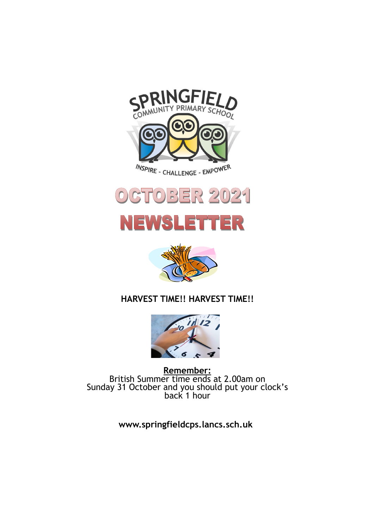







# **HARVEST TIME!! HARVEST TIME!!**



**Remember:**  British Summer time ends at 2.00am on Sunday 31 October and you should put your clock's back 1 hour

**www.springfieldcps.lancs.sch.uk**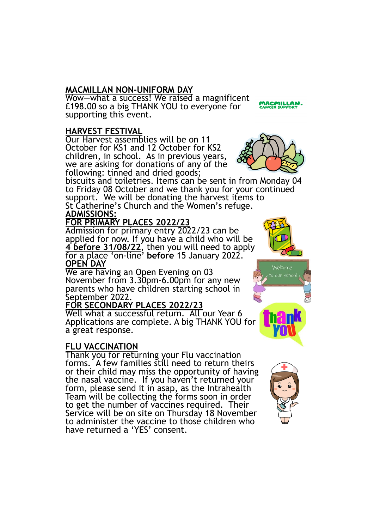## **MACMILLAN NON-UNIFORM DAY**

Wow—what a success! We raised a magnificent £198.00 so a big THANK YOU to everyone for supporting this event.

#### **HARVEST FESTIVAL**

Our Harvest assemblies will be on 11 October for KS1 and 12 October for KS2 children, in school. As in previous years, we are asking for donations of any of the following: tinned and dried goods;



**MACMILLAN**<br>CANCER SUPPORT

biscuits and toiletries. Items can be sent in from Monday 04 to Friday 08 October and we thank you for your continued support. We will be donating the harvest items to St Catherine's Church and the Women's refuge. **ADMISSIONS:**

# **FOR PRIMARY PLACES 2022/23**

Admission for primary entry 2022/23 can be applied for now. If you have a child who will be **4 before 31/08/22**, then you will need to apply for a place 'on-line' **before** 15 January 2022. **OPEN DAY**

We are having an Open Evening on 03 November from 3.30pm-6.00pm for any new parents who have children starting school in September 2022.

## **FOR SECONDARY PLACES 2022/23**

Well what a successful return. All our Year 6 Applications are complete. A big THANK YOU for a great response.

## **FLU VACCINATION**

Thank you for returning your Flu vaccination forms. A few families still need to return theirs or their child may miss the opportunity of having the nasal vaccine. If you haven't returned your form, please send it in asap, as the Intrahealth Team will be collecting the forms soon in order to get the number of vaccines required. Their Service will be on site on Thursday 18 November to administer the vaccine to those children who have returned a 'YES' consent.





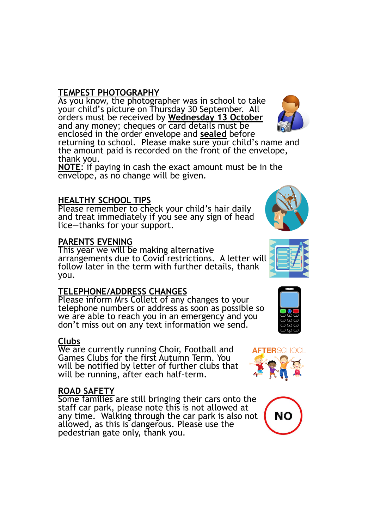## **TEMPEST PHOTOGRAPHY**

As you know, the photographer was in school to take your child's picture on Thursday 30 September. All orders must be received by **Wednesday 13 October**  and any money; cheques or card details must be enclosed in the order envelope and **sealed** before

returning to school. Please make sure your child's name and the amount paid is recorded on the front of the envelope, thank you.

**NOTE**: if paying in cash the exact amount must be in the envelope, as no change will be given.

## **HEALTHY SCHOOL TIPS**

Please remember to check your child's hair daily and treat immediately if you see any sign of head lice—thanks for your support.

#### **PARENTS EVENING**

This year we will be making alternative arrangements due to Covid restrictions. A letter will follow later in the term with further details, thank you.

## **TELEPHONE/ADDRESS CHANGES**

Please inform Mrs Collett of any changes to your telephone numbers or address as soon as possible so we are able to reach you in an emergency and you don't miss out on any text information we send.

## **Clubs**

We are currently running Choir, Football and Games Clubs for the first Autumn Term. You will be notified by letter of further clubs that will be running, after each half-term.

#### **ROAD SAFETY**

Some families are still bringing their cars onto the staff car park, please note this is not allowed at any time. Walking through the car park is also not allowed, as this is dangerous. Please use the pedestrian gate only, thank you.